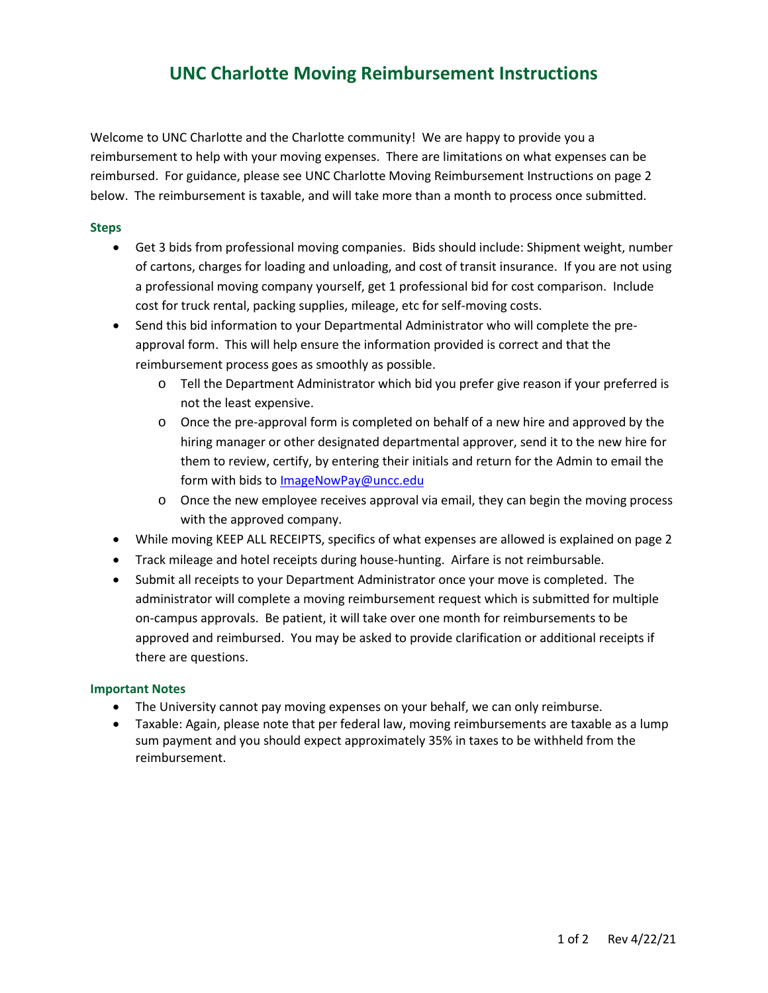## **UNC Charlotte Moving Reimbursement Instructions**

Welcome to UNC Charlotte and the Charlotte community! We are happy to provide you a reimbursement to help with your moving expenses. There are limitations on what expenses can be reimbursed. For guidance, please see UNC Charlotte Moving Reimbursement Instructions on page 2 below. The reimbursement is taxable, and will take more than a month to process once submitted.

### **Steps**

• Get 3 bids from professional moving companies. Bids should include: Shipment weight, number of cartons, charges for loading and unloading, and cost of transit insurance. If you are not using a professional moving company yourself, get 1 professional bid for cost comparison. Include cost for truck rental, packing supplies, mileage, etc for self-moving costs.

• Send this bid information to your Departmental Administrator who will complete the preapproval form. This will help ensure the information provided is correct and that the reimbursement process goes as smoothly as possible.

- o Tell the Department Administrator which bid you prefer give reason if your preferred is not the least expensive.
- o Once the pre-approval form is completed on behalf of a new hire and approved by the hiring manager or other designated departmental approver, send it to the new hire for them to review, certify, by entering their initials and return for the Admin to email the form with bids to [ImageNowPay@uncc.edu](mailto:ImageNowPay@uncc.edu)
- o Once the new employee receives approval via email, they can begin the moving process with the approved company.
- While moving KEEP ALL RECEIPTS, specifics of what expenses are allowed is explained on page 2
- Track mileage and hotel receipts during house-hunting. Airfare is not reimbursable.
- Submit all receipts to your Department Administrator once your move is completed. The administrator will complete a moving reimbursement request which is submitted for multiple on-campus approvals. Be patient, it will take over one month for reimbursements to be approved and reimbursed. You may be asked to provide clarification or additional receipts if there are questions.

#### **Important Notes**

- The University cannot pay moving expenses on your behalf, we can only reimburse.
- Taxable: Again, please note that per federal law, moving reimbursements are taxable as a lump sum payment and you should expect approximately 35% in taxes to be withheld from the reimbursement.